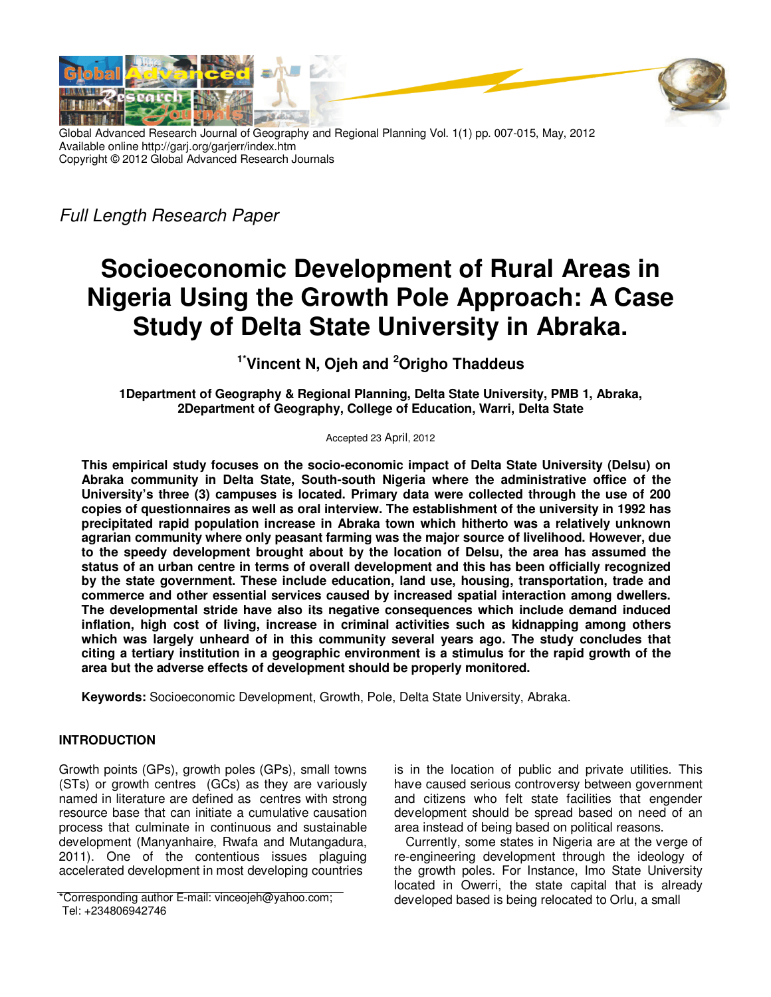

Global Advanced Research Journal of Geography and Regional Planning Vol. 1(1) pp. 007-015, May, 2012 Available online http://garj.org/garjerr/index.htm Copyright © 2012 Global Advanced Research Journals

Full Length Research Paper

# **Socioeconomic Development of Rural Areas in Nigeria Using the Growth Pole Approach: A Case Study of Delta State University in Abraka.**

**1\*Vincent N, Ojeh and <sup>2</sup>Origho Thaddeus** 

**1Department of Geography & Regional Planning, Delta State University, PMB 1, Abraka, 2Department of Geography, College of Education, Warri, Delta State** 

Accepted 23 April, 2012

**This empirical study focuses on the socio-economic impact of Delta State University (Delsu) on Abraka community in Delta State, South-south Nigeria where the administrative office of the University's three (3) campuses is located. Primary data were collected through the use of 200 copies of questionnaires as well as oral interview. The establishment of the university in 1992 has precipitated rapid population increase in Abraka town which hitherto was a relatively unknown agrarian community where only peasant farming was the major source of livelihood. However, due to the speedy development brought about by the location of Delsu, the area has assumed the status of an urban centre in terms of overall development and this has been officially recognized by the state government. These include education, land use, housing, transportation, trade and commerce and other essential services caused by increased spatial interaction among dwellers. The developmental stride have also its negative consequences which include demand induced inflation, high cost of living, increase in criminal activities such as kidnapping among others which was largely unheard of in this community several years ago. The study concludes that citing a tertiary institution in a geographic environment is a stimulus for the rapid growth of the area but the adverse effects of development should be properly monitored.** 

**Keywords:** Socioeconomic Development, Growth, Pole, Delta State University, Abraka.

# **INTRODUCTION**

Growth points (GPs), growth poles (GPs), small towns (STs) or growth centres (GCs) as they are variously named in literature are defined as centres with strong resource base that can initiate a cumulative causation process that culminate in continuous and sustainable development (Manyanhaire, Rwafa and Mutangadura, 2011). One of the contentious issues plaguing accelerated development in most developing countries

is in the location of public and private utilities. This have caused serious controversy between government and citizens who felt state facilities that engender development should be spread based on need of an area instead of being based on political reasons.

Currently, some states in Nigeria are at the verge of re-engineering development through the ideology of the growth poles. For Instance, Imo State University located in Owerri, the state capital that is already developed based is being relocated to Orlu, a small

<sup>\*</sup>Corresponding author E-mail: vinceojeh@yahoo.com; Tel: +234806942746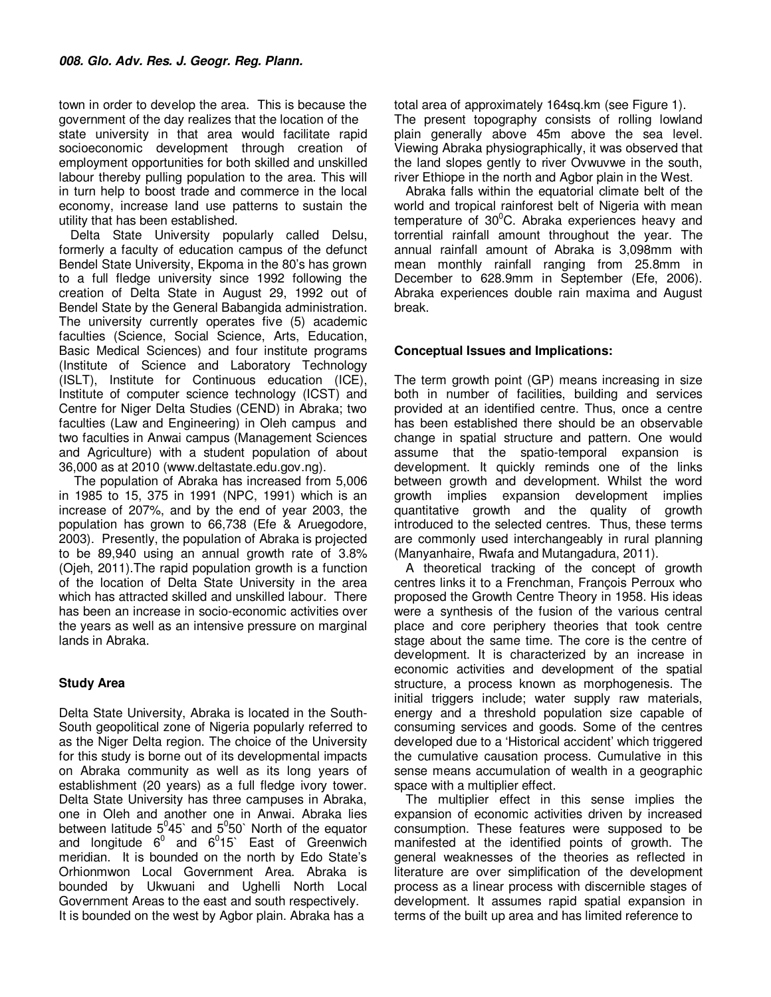town in order to develop the area. This is because the government of the day realizes that the location of the state university in that area would facilitate rapid socioeconomic development through creation of employment opportunities for both skilled and unskilled labour thereby pulling population to the area. This will in turn help to boost trade and commerce in the local economy, increase land use patterns to sustain the utility that has been established.

Delta State University popularly called Delsu, formerly a faculty of education campus of the defunct Bendel State University, Ekpoma in the 80's has grown to a full fledge university since 1992 following the creation of Delta State in August 29, 1992 out of Bendel State by the General Babangida administration. The university currently operates five (5) academic faculties (Science, Social Science, Arts, Education, Basic Medical Sciences) and four institute programs (Institute of Science and Laboratory Technology (ISLT), Institute for Continuous education (ICE), Institute of computer science technology (ICST) and Centre for Niger Delta Studies (CEND) in Abraka; two faculties (Law and Engineering) in Oleh campus and two faculties in Anwai campus (Management Sciences and Agriculture) with a student population of about 36,000 as at 2010 (www.deltastate.edu.gov.ng).

 The population of Abraka has increased from 5,006 in 1985 to 15, 375 in 1991 (NPC, 1991) which is an increase of 207%, and by the end of year 2003, the population has grown to 66,738 (Efe & Aruegodore, 2003). Presently, the population of Abraka is projected to be 89,940 using an annual growth rate of 3.8% (Ojeh, 2011).The rapid population growth is a function of the location of Delta State University in the area which has attracted skilled and unskilled labour. There has been an increase in socio-economic activities over the years as well as an intensive pressure on marginal lands in Abraka.

# **Study Area**

Delta State University, Abraka is located in the South-South geopolitical zone of Nigeria popularly referred to as the Niger Delta region. The choice of the University for this study is borne out of its developmental impacts on Abraka community as well as its long years of establishment (20 years) as a full fledge ivory tower. Delta State University has three campuses in Abraka, one in Oleh and another one in Anwai. Abraka lies between latitude  $5^0 45$ ` and  $5^0 50$ ` North of the equator and longitude  $6^0$  and  $6^015$  East of Greenwich meridian. It is bounded on the north by Edo State's Orhionmwon Local Government Area. Abraka is bounded by Ukwuani and Ughelli North Local Government Areas to the east and south respectively. It is bounded on the west by Agbor plain. Abraka has a

total area of approximately 164sq.km (see Figure 1). The present topography consists of rolling lowland plain generally above 45m above the sea level. Viewing Abraka physiographically, it was observed that the land slopes gently to river Ovwuvwe in the south, river Ethiope in the north and Agbor plain in the West.

Abraka falls within the equatorial climate belt of the world and tropical rainforest belt of Nigeria with mean temperature of  $30^{\circ}$ C. Abraka experiences heavy and torrential rainfall amount throughout the year. The annual rainfall amount of Abraka is 3,098mm with mean monthly rainfall ranging from 25.8mm in December to 628.9mm in September (Efe, 2006). Abraka experiences double rain maxima and August break.

## **Conceptual Issues and Implications:**

The term growth point (GP) means increasing in size both in number of facilities, building and services provided at an identified centre. Thus, once a centre has been established there should be an observable change in spatial structure and pattern. One would assume that the spatio-temporal expansion is development. It quickly reminds one of the links between growth and development. Whilst the word growth implies expansion development implies quantitative growth and the quality of growth introduced to the selected centres. Thus, these terms are commonly used interchangeably in rural planning (Manyanhaire, Rwafa and Mutangadura, 2011).

A theoretical tracking of the concept of growth centres links it to a Frenchman, François Perroux who proposed the Growth Centre Theory in 1958. His ideas were a synthesis of the fusion of the various central place and core periphery theories that took centre stage about the same time. The core is the centre of development. It is characterized by an increase in economic activities and development of the spatial structure, a process known as morphogenesis. The initial triggers include; water supply raw materials, energy and a threshold population size capable of consuming services and goods. Some of the centres developed due to a 'Historical accident' which triggered the cumulative causation process. Cumulative in this sense means accumulation of wealth in a geographic space with a multiplier effect.

The multiplier effect in this sense implies the expansion of economic activities driven by increased consumption. These features were supposed to be manifested at the identified points of growth. The general weaknesses of the theories as reflected in literature are over simplification of the development process as a linear process with discernible stages of development. It assumes rapid spatial expansion in terms of the built up area and has limited reference to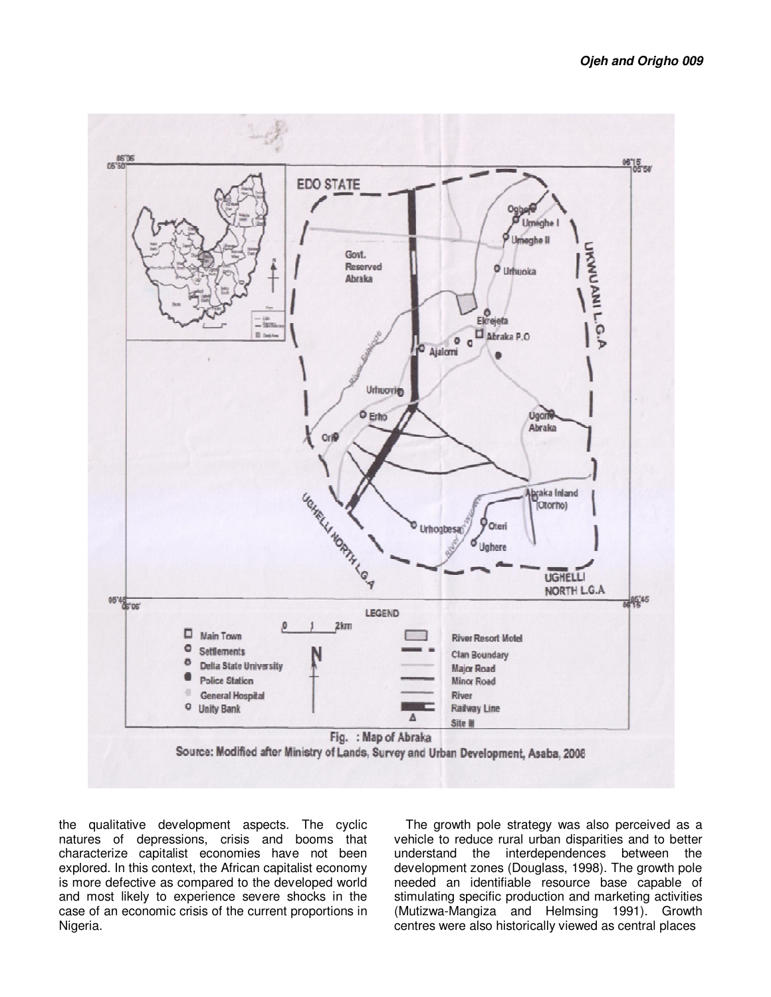

the qualitative development aspects. The cyclic natures of depressions, crisis and booms that characterize capitalist economies have not been explored. In this context, the African capitalist economy is more defective as compared to the developed world and most likely to experience severe shocks in the case of an economic crisis of the current proportions in Nigeria.

The growth pole strategy was also perceived as a vehicle to reduce rural urban disparities and to better understand the interdependences between the development zones (Douglass, 1998). The growth pole needed an identifiable resource base capable of stimulating specific production and marketing activities (Mutizwa-Mangiza and Helmsing 1991). Growth centres were also historically viewed as central places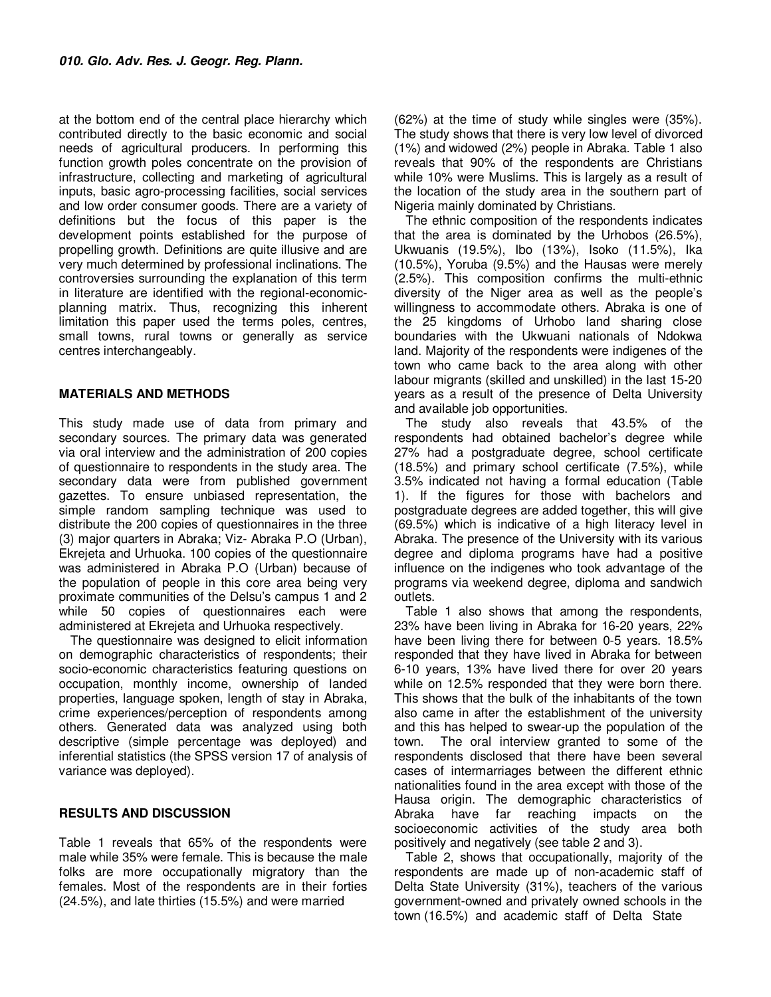at the bottom end of the central place hierarchy which contributed directly to the basic economic and social needs of agricultural producers. In performing this function growth poles concentrate on the provision of infrastructure, collecting and marketing of agricultural inputs, basic agro-processing facilities, social services and low order consumer goods. There are a variety of definitions but the focus of this paper is the development points established for the purpose of propelling growth. Definitions are quite illusive and are very much determined by professional inclinations. The controversies surrounding the explanation of this term in literature are identified with the regional-economicplanning matrix. Thus, recognizing this inherent limitation this paper used the terms poles, centres, small towns, rural towns or generally as service centres interchangeably.

#### **MATERIALS AND METHODS**

This study made use of data from primary and secondary sources. The primary data was generated via oral interview and the administration of 200 copies of questionnaire to respondents in the study area. The secondary data were from published government gazettes. To ensure unbiased representation, the simple random sampling technique was used to distribute the 200 copies of questionnaires in the three (3) major quarters in Abraka; Viz- Abraka P.O (Urban), Ekrejeta and Urhuoka. 100 copies of the questionnaire was administered in Abraka P.O (Urban) because of the population of people in this core area being very proximate communities of the Delsu's campus 1 and 2 while 50 copies of questionnaires each were administered at Ekrejeta and Urhuoka respectively.

The questionnaire was designed to elicit information on demographic characteristics of respondents; their socio-economic characteristics featuring questions on occupation, monthly income, ownership of landed properties, language spoken, length of stay in Abraka, crime experiences/perception of respondents among others. Generated data was analyzed using both descriptive (simple percentage was deployed) and inferential statistics (the SPSS version 17 of analysis of variance was deployed).

#### **RESULTS AND DISCUSSION**

Table 1 reveals that 65% of the respondents were male while 35% were female. This is because the male folks are more occupationally migratory than the females. Most of the respondents are in their forties (24.5%), and late thirties (15.5%) and were married

(62%) at the time of study while singles were (35%). The study shows that there is very low level of divorced (1%) and widowed (2%) people in Abraka. Table 1 also reveals that 90% of the respondents are Christians while 10% were Muslims. This is largely as a result of the location of the study area in the southern part of Nigeria mainly dominated by Christians.

The ethnic composition of the respondents indicates that the area is dominated by the Urhobos (26.5%), Ukwuanis (19.5%), Ibo (13%), Isoko (11.5%), Ika (10.5%), Yoruba (9.5%) and the Hausas were merely (2.5%). This composition confirms the multi-ethnic diversity of the Niger area as well as the people's willingness to accommodate others. Abraka is one of the 25 kingdoms of Urhobo land sharing close boundaries with the Ukwuani nationals of Ndokwa land. Majority of the respondents were indigenes of the town who came back to the area along with other labour migrants (skilled and unskilled) in the last 15-20 years as a result of the presence of Delta University and available job opportunities.

The study also reveals that 43.5% of the respondents had obtained bachelor's degree while 27% had a postgraduate degree, school certificate (18.5%) and primary school certificate (7.5%), while 3.5% indicated not having a formal education (Table 1). If the figures for those with bachelors and postgraduate degrees are added together, this will give (69.5%) which is indicative of a high literacy level in Abraka. The presence of the University with its various degree and diploma programs have had a positive influence on the indigenes who took advantage of the programs via weekend degree, diploma and sandwich outlets.

Table 1 also shows that among the respondents, 23% have been living in Abraka for 16-20 years, 22% have been living there for between 0-5 years. 18.5% responded that they have lived in Abraka for between 6-10 years, 13% have lived there for over 20 years while on 12.5% responded that they were born there. This shows that the bulk of the inhabitants of the town also came in after the establishment of the university and this has helped to swear-up the population of the town. The oral interview granted to some of the respondents disclosed that there have been several cases of intermarriages between the different ethnic nationalities found in the area except with those of the Hausa origin. The demographic characteristics of Abraka have far reaching impacts on the socioeconomic activities of the study area both positively and negatively (see table 2 and 3).

Table 2, shows that occupationally, majority of the respondents are made up of non-academic staff of Delta State University (31%), teachers of the various government-owned and privately owned schools in the town (16.5%) and academic staff of Delta State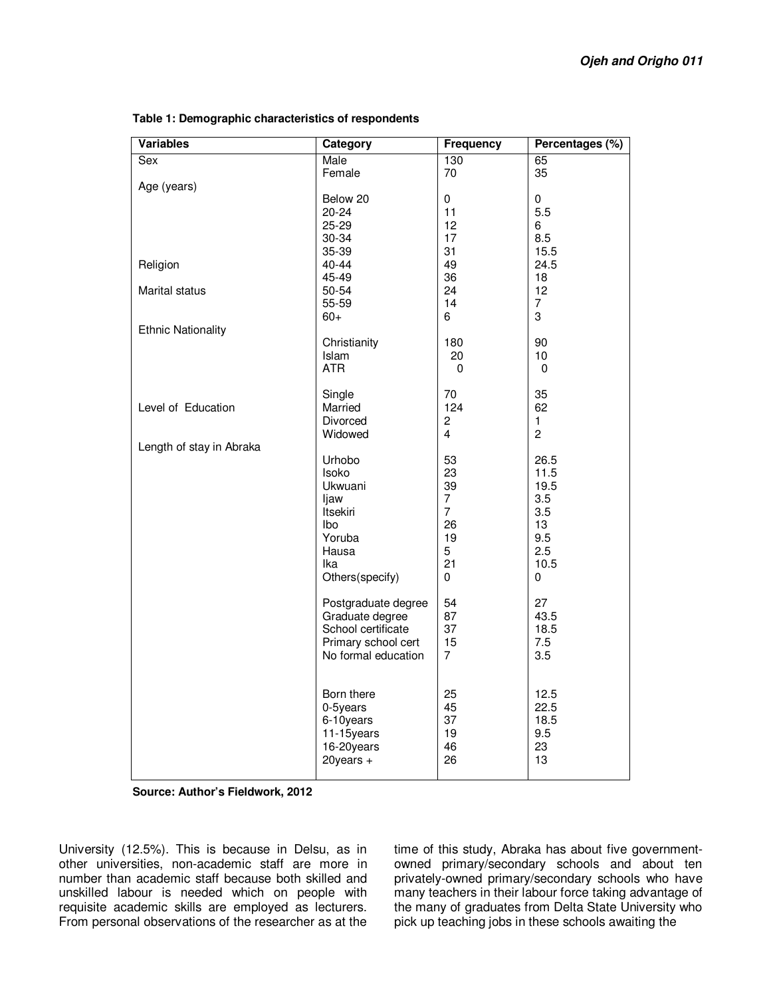| <b>Variables</b>          | <b>Category</b>     | <b>Frequency</b> | Percentages (%) |
|---------------------------|---------------------|------------------|-----------------|
| Sex                       | Male                | 130              | 65              |
|                           | Female              | 70               | 35              |
| Age (years)               |                     |                  |                 |
|                           | Below 20            | 0                | 0               |
|                           | $20 - 24$           | 11               | 5.5             |
|                           | 25-29               | 12               | 6               |
|                           | 30-34               | 17               | 8.5             |
|                           | 35-39               | 31               | 15.5            |
| Religion                  | 40-44               | 49               | 24.5            |
|                           | 45-49               | 36               | 18              |
| Marital status            | 50-54               | 24               | 12              |
|                           | 55-59               | 14               | $\overline{7}$  |
|                           | $60+$               | 6                | 3               |
| <b>Ethnic Nationality</b> |                     |                  |                 |
|                           | Christianity        | 180              | 90              |
|                           | Islam<br><b>ATR</b> | 20<br>$\Omega$   | 10              |
|                           |                     |                  | 0               |
|                           | Single              | 70               | 35              |
| Level of Education        | Married             | 124              | 62              |
|                           | Divorced            | 2                | 1               |
|                           | Widowed             | $\overline{4}$   | $\overline{c}$  |
| Length of stay in Abraka  |                     |                  |                 |
|                           | Urhobo              | 53               | 26.5            |
|                           | Isoko               | 23               | 11.5            |
|                           | Ukwuani             | 39               | 19.5            |
|                           | ljaw                | $\overline{7}$   | 3.5             |
|                           | <b>Itsekiri</b>     | $\overline{7}$   | 3.5             |
|                           | lbo                 | 26               | 13              |
|                           | Yoruba              | 19               | 9.5             |
|                           | Hausa               | 5                | 2.5             |
|                           | lka                 | 21               | 10.5            |
|                           | Others(specify)     | 0                | 0               |
|                           |                     |                  |                 |
|                           | Postgraduate degree | 54               | 27              |
|                           | Graduate degree     | 87               | 43.5            |
|                           | School certificate  | 37               | 18.5            |
|                           | Primary school cert | 15               | 7.5             |
|                           | No formal education | $\overline{7}$   | 3.5             |
|                           |                     |                  |                 |
|                           |                     |                  |                 |
|                           | Born there          | 25               | 12.5            |
|                           | 0-5years            | 45               | 22.5            |
|                           | 6-10years           | 37               | 18.5            |
|                           | 11-15years          | 19               | 9.5             |
|                           | 16-20years          | 46               | 23              |
|                           | $20$ years +        | 26               | 13              |
|                           |                     |                  |                 |

#### **Table 1: Demographic characteristics of respondents**

**Source: Author's Fieldwork, 2012**

University (12.5%). This is because in Delsu, as in other universities, non-academic staff are more in number than academic staff because both skilled and unskilled labour is needed which on people with requisite academic skills are employed as lecturers. From personal observations of the researcher as at the

time of this study, Abraka has about five governmentowned primary/secondary schools and about ten privately-owned primary/secondary schools who have many teachers in their labour force taking advantage of the many of graduates from Delta State University who pick up teaching jobs in these schools awaiting the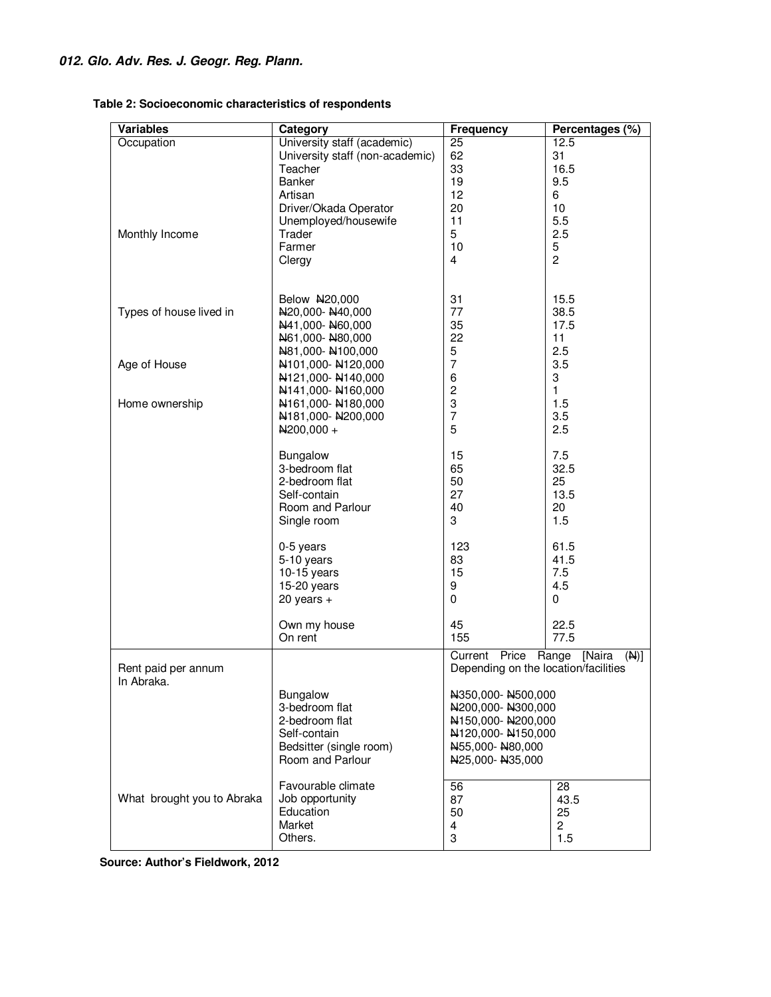| <b>Variables</b>           | Category                        | <b>Frequency</b>                                                                                  | Percentages (%) |
|----------------------------|---------------------------------|---------------------------------------------------------------------------------------------------|-----------------|
| Occupation                 | University staff (academic)     | $\overline{25}$                                                                                   | 12.5            |
|                            | University staff (non-academic) | 62                                                                                                | 31              |
|                            | Teacher                         | 33                                                                                                | 16.5            |
|                            | Banker                          | 19                                                                                                | 9.5             |
|                            | Artisan                         | 12                                                                                                | 6               |
|                            | Driver/Okada Operator           | 20                                                                                                | 10              |
|                            | Unemployed/housewife            | 11                                                                                                | 5.5             |
| Monthly Income             | Trader                          | 5                                                                                                 | 2.5             |
|                            | Farmer                          | 10                                                                                                | 5               |
|                            | Clergy                          | 4                                                                                                 | $\overline{c}$  |
|                            |                                 |                                                                                                   |                 |
|                            |                                 |                                                                                                   |                 |
|                            | Below N20,000                   | 31                                                                                                | 15.5            |
| Types of house lived in    | N20,000-N40,000                 | 77                                                                                                | 38.5            |
|                            | N41,000-N60,000                 | 35                                                                                                | 17.5            |
|                            | N61,000-N80,000                 | 22                                                                                                | 11              |
|                            | N81,000-N100,000                | 5                                                                                                 | 2.5             |
| Age of House               | N101,000-N120,000               | $\overline{7}$                                                                                    | 3.5             |
|                            | N121,000-N140,000               | 6                                                                                                 | 3               |
|                            | N141,000-N160,000               | $\overline{\mathbf{c}}$                                                                           | 1               |
| Home ownership             | N161,000-N180,000               | 3                                                                                                 | 1.5             |
|                            | N181,000-N200,000               | $\overline{7}$                                                                                    | 3.5             |
|                            | $N200,000 +$                    | 5                                                                                                 | 2.5             |
|                            |                                 |                                                                                                   |                 |
|                            | Bungalow                        | 15                                                                                                | 7.5             |
|                            | 3-bedroom flat                  | 65                                                                                                | 32.5            |
|                            | 2-bedroom flat                  | 50                                                                                                | 25              |
|                            | Self-contain                    | 27                                                                                                | 13.5            |
|                            | Room and Parlour                | 40                                                                                                | 20              |
|                            | Single room                     | 3                                                                                                 | 1.5             |
|                            |                                 |                                                                                                   |                 |
|                            | $0-5$ years                     | 123                                                                                               | 61.5            |
|                            | 5-10 years                      | 83                                                                                                | 41.5            |
|                            | $10-15$ years                   | 15                                                                                                | 7.5             |
|                            | 15-20 years                     | 9<br>0                                                                                            | 4.5             |
|                            | $20$ years $+$                  |                                                                                                   | 0               |
|                            | Own my house                    | 45                                                                                                | 22.5            |
|                            | On rent                         | 155                                                                                               | 77.5            |
|                            |                                 | Price<br>Current                                                                                  | [Naira<br>(M)   |
| Rent paid per annum        |                                 | Range<br>Depending on the location/facilities                                                     |                 |
| In Abraka.                 |                                 |                                                                                                   |                 |
|                            | Bungalow                        | N350,000-N500,000                                                                                 |                 |
|                            | 3-bedroom flat                  | N200,000-N300,000<br>N150,000-N200,000<br>N120,000-N150,000<br>N55,000-N80,000<br>N25,000-N35,000 |                 |
|                            | 2-bedroom flat                  |                                                                                                   |                 |
|                            | Self-contain                    |                                                                                                   |                 |
|                            | Bedsitter (single room)         |                                                                                                   |                 |
|                            | Room and Parlour                |                                                                                                   |                 |
|                            |                                 |                                                                                                   |                 |
| Favourable climate         |                                 | 56                                                                                                | 28              |
| What brought you to Abraka | Job opportunity                 | 87                                                                                                | 43.5            |
|                            | Education                       | 50                                                                                                | 25              |
|                            | Market                          | 4                                                                                                 | $\overline{c}$  |
|                            | Others.                         | 3                                                                                                 | 1.5             |
|                            |                                 |                                                                                                   |                 |

**Table 2: Socioeconomic characteristics of respondents** 

 **Source: Author's Fieldwork, 2012**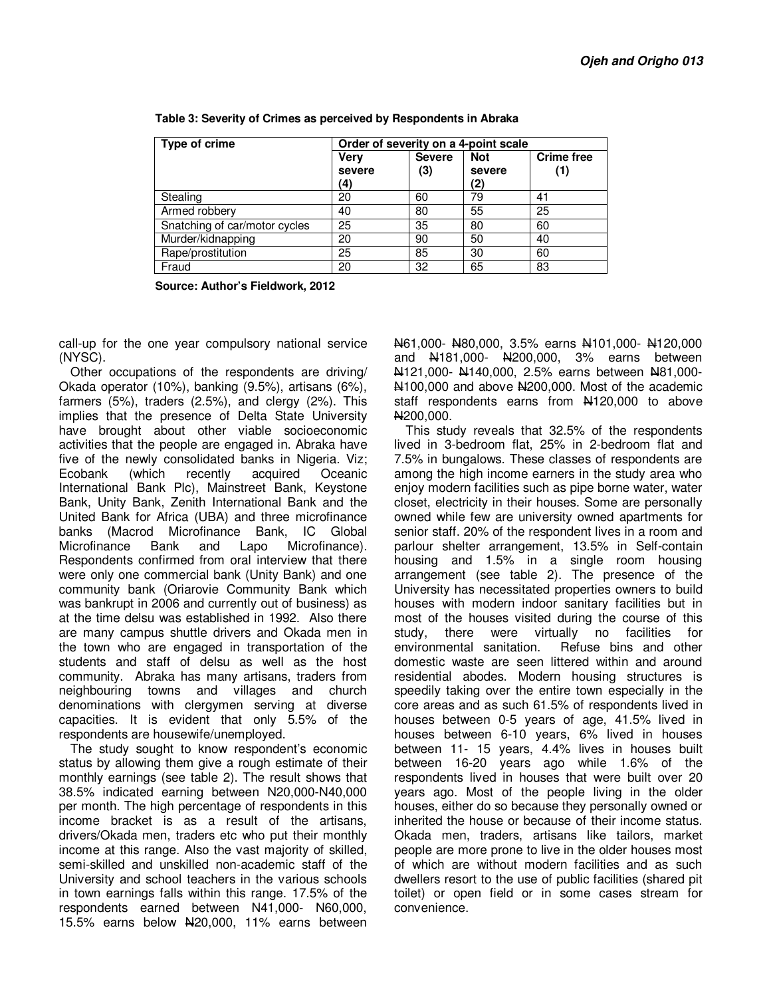| Type of crime                 | Order of severity on a 4-point scale |                      |                             |                          |
|-------------------------------|--------------------------------------|----------------------|-----------------------------|--------------------------|
|                               | <b>Verv</b><br>severe<br>(4)         | <b>Severe</b><br>(3) | <b>Not</b><br>severe<br>(2) | <b>Crime free</b><br>(1) |
| Stealing                      | 20                                   | 60                   | 79                          | 41                       |
| Armed robbery                 | 40                                   | 80                   | 55                          | 25                       |
| Snatching of car/motor cycles | 25                                   | 35                   | 80                          | 60                       |
| Murder/kidnapping             | 20                                   | 90                   | 50                          | 40                       |
| Rape/prostitution             | 25                                   | 85                   | 30                          | 60                       |
| Fraud                         | 20                                   | 32                   | 65                          | 83                       |

**Table 3: Severity of Crimes as perceived by Respondents in Abraka** 

**Source: Author's Fieldwork, 2012** 

call-up for the one year compulsory national service (NYSC).

Other occupations of the respondents are driving/ Okada operator (10%), banking (9.5%), artisans (6%), farmers (5%), traders (2.5%), and clergy (2%). This implies that the presence of Delta State University have brought about other viable socioeconomic activities that the people are engaged in. Abraka have five of the newly consolidated banks in Nigeria. Viz; Ecobank (which recently acquired Oceanic International Bank Plc), Mainstreet Bank, Keystone Bank, Unity Bank, Zenith International Bank and the United Bank for Africa (UBA) and three microfinance banks (Macrod Microfinance Bank, IC Global Microfinance Bank and Lapo Microfinance). Respondents confirmed from oral interview that there were only one commercial bank (Unity Bank) and one community bank (Oriarovie Community Bank which was bankrupt in 2006 and currently out of business) as at the time delsu was established in 1992. Also there are many campus shuttle drivers and Okada men in the town who are engaged in transportation of the students and staff of delsu as well as the host community. Abraka has many artisans, traders from neighbouring towns and villages and church denominations with clergymen serving at diverse capacities. It is evident that only 5.5% of the respondents are housewife/unemployed.

The study sought to know respondent's economic status by allowing them give a rough estimate of their monthly earnings (see table 2). The result shows that 38.5% indicated earning between N20,000-N40,000 per month. The high percentage of respondents in this income bracket is as a result of the artisans, drivers/Okada men, traders etc who put their monthly income at this range. Also the vast majority of skilled, semi-skilled and unskilled non-academic staff of the University and school teachers in the various schools in town earnings falls within this range. 17.5% of the respondents earned between N41,000- N60,000, 15.5% earns below N20,000, 11% earns between

N61,000- N80,000, 3.5% earns N101,000- N120,000 and N181,000- N200,000, 3% earns between N121,000- N140,000, 2.5% earns between N81,000- N<sub>100</sub>,000 and above N<sub>200</sub>,000. Most of the academic staff respondents earns from N120,000 to above N200,000.

This study reveals that 32.5% of the respondents lived in 3-bedroom flat, 25% in 2-bedroom flat and 7.5% in bungalows. These classes of respondents are among the high income earners in the study area who enjoy modern facilities such as pipe borne water, water closet, electricity in their houses. Some are personally owned while few are university owned apartments for senior staff. 20% of the respondent lives in a room and parlour shelter arrangement, 13.5% in Self-contain housing and 1.5% in a single room housing arrangement (see table 2). The presence of the University has necessitated properties owners to build houses with modern indoor sanitary facilities but in most of the houses visited during the course of this study, there were virtually no facilities for environmental sanitation. Refuse bins and other domestic waste are seen littered within and around residential abodes. Modern housing structures is speedily taking over the entire town especially in the core areas and as such 61.5% of respondents lived in houses between 0-5 years of age, 41.5% lived in houses between 6-10 years, 6% lived in houses between 11- 15 years, 4.4% lives in houses built between 16-20 years ago while 1.6% of the respondents lived in houses that were built over 20 years ago. Most of the people living in the older houses, either do so because they personally owned or inherited the house or because of their income status. Okada men, traders, artisans like tailors, market people are more prone to live in the older houses most of which are without modern facilities and as such dwellers resort to the use of public facilities (shared pit toilet) or open field or in some cases stream for convenience.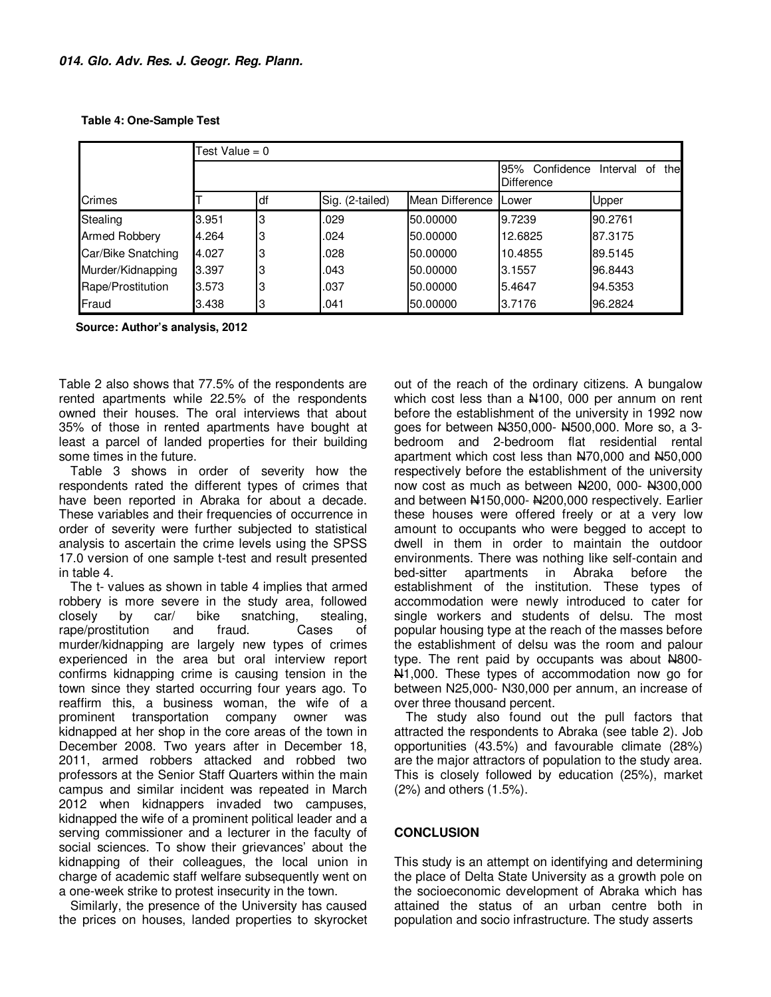**Table 4: One-Sample Test**

|                      | Test Value = $0$ |    |                 |                                                          |         |         |
|----------------------|------------------|----|-----------------|----------------------------------------------------------|---------|---------|
|                      |                  |    |                 | 95%<br>Confidence<br>the<br>Interval<br>of<br>Difference |         |         |
| Crimes               |                  | df | Sig. (2-tailed) | Mean Difference                                          | Lower   | Upper   |
| Stealing             | 3.951            | 3  | .029            | 50.00000                                                 | 9.7239  | 90.2761 |
| <b>Armed Robbery</b> | 4.264            | 3  | .024            | 50.00000                                                 | 12.6825 | 87.3175 |
| Car/Bike Snatching   | 4.027            | 3  | .028            | 50.00000                                                 | 10.4855 | 89.5145 |
| Murder/Kidnapping    | 3.397            | 3  | .043            | 50.00000                                                 | 3.1557  | 96.8443 |
| Rape/Prostitution    | 3.573            | 3  | .037            | 50.00000                                                 | 5.4647  | 94.5353 |
| Fraud                | 3.438            | 3  | .041            | 50.00000                                                 | 3.7176  | 96.2824 |

**Source: Author's analysis, 2012** 

Table 2 also shows that 77.5% of the respondents are rented apartments while 22.5% of the respondents owned their houses. The oral interviews that about 35% of those in rented apartments have bought at least a parcel of landed properties for their building some times in the future.

Table 3 shows in order of severity how the respondents rated the different types of crimes that have been reported in Abraka for about a decade. These variables and their frequencies of occurrence in order of severity were further subjected to statistical analysis to ascertain the crime levels using the SPSS 17.0 version of one sample t-test and result presented in table 4.

The t- values as shown in table 4 implies that armed robbery is more severe in the study area, followed closely by car/ bike snatching, stealing,<br>rane/prostitution and fraud. Cases of rape/prostitution and fraud. Cases of murder/kidnapping are largely new types of crimes experienced in the area but oral interview report confirms kidnapping crime is causing tension in the town since they started occurring four years ago. To reaffirm this, a business woman, the wife of a prominent transportation company owner was kidnapped at her shop in the core areas of the town in December 2008. Two years after in December 18, 2011, armed robbers attacked and robbed two professors at the Senior Staff Quarters within the main campus and similar incident was repeated in March 2012 when kidnappers invaded two campuses, kidnapped the wife of a prominent political leader and a serving commissioner and a lecturer in the faculty of social sciences. To show their grievances' about the kidnapping of their colleagues, the local union in charge of academic staff welfare subsequently went on a one-week strike to protest insecurity in the town.

Similarly, the presence of the University has caused the prices on houses, landed properties to skyrocket out of the reach of the ordinary citizens. A bungalow which cost less than a N<sub>100</sub>, 000 per annum on rent before the establishment of the university in 1992 now goes for between N350,000- N500,000. More so, a 3 bedroom and 2-bedroom flat residential rental apartment which cost less than N70,000 and N50,000 respectively before the establishment of the university now cost as much as between N200, 000- N300,000 and between  $\frac{\text{N}}{150,000}$ -  $\frac{\text{N}}{200,000}$  respectively. Earlier these houses were offered freely or at a very low amount to occupants who were begged to accept to dwell in them in order to maintain the outdoor environments. There was nothing like self-contain and bed-sitter apartments in Abraka before the establishment of the institution. These types of accommodation were newly introduced to cater for single workers and students of delsu. The most popular housing type at the reach of the masses before the establishment of delsu was the room and palour type. The rent paid by occupants was about  $H800-$ N<sub>1</sub>,000. These types of accommodation now go for between N25,000- N30,000 per annum, an increase of over three thousand percent.

The study also found out the pull factors that attracted the respondents to Abraka (see table 2). Job opportunities (43.5%) and favourable climate (28%) are the major attractors of population to the study area. This is closely followed by education (25%), market (2%) and others (1.5%).

## **CONCLUSION**

This study is an attempt on identifying and determining the place of Delta State University as a growth pole on the socioeconomic development of Abraka which has attained the status of an urban centre both in population and socio infrastructure. The study asserts